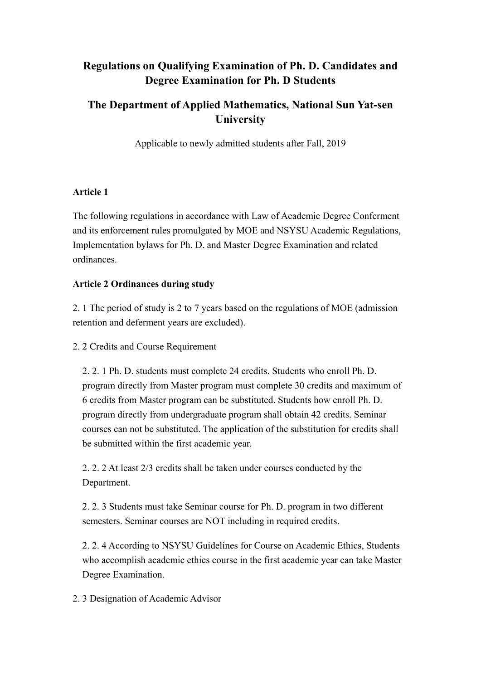# **Regulations on Qualifying Examination of Ph. D. Candidates and Degree Examination for Ph. D Students**

## **The Department of Applied Mathematics, National Sun Yat-sen University**

Applicable to newly admitted students after Fall, 2019

### **Article 1**

The following regulations in accordance with Law of Academic Degree Conferment and its enforcement rules promulgated by MOE and NSYSU Academic Regulations, Implementation bylaws for Ph. D. and Master Degree Examination and related ordinances.

### **Article 2 Ordinances during study**

2. 1 The period of study is 2 to 7 years based on the regulations of MOE (admission retention and deferment years are excluded).

2. 2 Credits and Course Requirement

2. 2. 1 Ph. D. students must complete 24 credits. Students who enroll Ph. D. program directly from Master program must complete 30 credits and maximum of 6 credits from Master program can be substituted. Students how enroll Ph. D. program directly from undergraduate program shall obtain 42 credits. Seminar courses can not be substituted. The application of the substitution for credits shall be submitted within the first academic year.

2. 2. 2 At least 2/3 credits shall be taken under courses conducted by the Department.

2. 2. 3 Students must take Seminar course for Ph. D. program in two different semesters. Seminar courses are NOT including in required credits.

2. 2. 4 According to NSYSU Guidelines for Course on Academic Ethics, Students who accomplish academic ethics course in the first academic year can take Master Degree Examination.

2. 3 Designation of Academic Advisor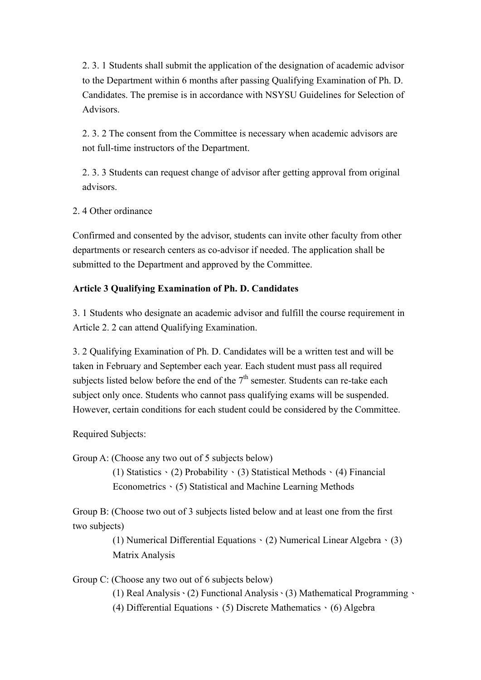2. 3. 1 Students shall submit the application of the designation of academic advisor to the Department within 6 months after passing Qualifying Examination of Ph. D. Candidates. The premise is in accordance with NSYSU Guidelines for Selection of Advisors.

2. 3. 2 The consent from the Committee is necessary when academic advisors are not full-time instructors of the Department.

2. 3. 3 Students can request change of advisor after getting approval from original advisors.

2. 4 Other ordinance

Confirmed and consented by the advisor, students can invite other faculty from other departments or research centers as co-advisor if needed. The application shall be submitted to the Department and approved by the Committee.

#### **Article 3 Qualifying Examination of Ph. D. Candidates**

3. 1 Students who designate an academic advisor and fulfill the course requirement in Article 2. 2 can attend Qualifying Examination.

3. 2 Qualifying Examination of Ph. D. Candidates will be a written test and will be taken in February and September each year. Each student must pass all required subjects listed below before the end of the  $7<sup>th</sup>$  semester. Students can re-take each subject only once. Students who cannot pass qualifying exams will be suspended. However, certain conditions for each student could be considered by the Committee.

Required Subjects:

Group A: (Choose any two out of 5 subjects below)

(1) Statistics  $\cdot$  (2) Probability  $\cdot$  (3) Statistical Methods  $\cdot$  (4) Financial Econometrics、(5) Statistical and Machine Learning Methods

Group B: (Choose two out of 3 subjects listed below and at least one from the first two subjects)

> (1) Numerical Differential Equations、(2) Numerical Linear Algebra、(3) Matrix Analysis

Group C: (Choose any two out of 6 subjects below)

(1) Real Analysis、(2) Functional Analysis、(3) Mathematical Programming、

(4) Differential Equations (5) Discrete Mathematics (6) Algebra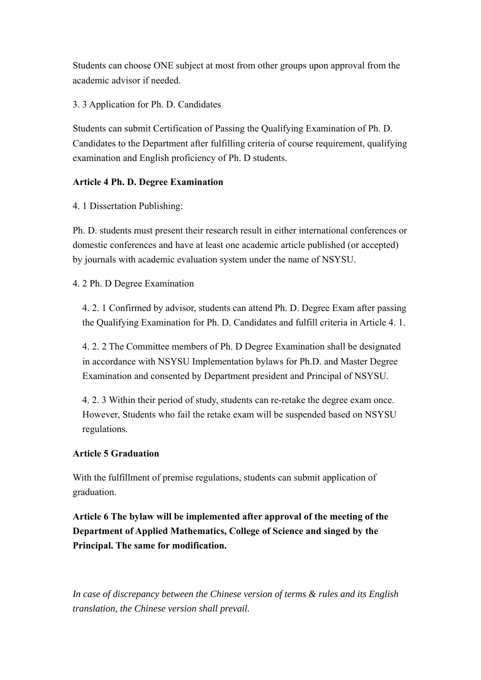Students can choose ONE subject at most from other groups upon approval from the academic advisor if needed.

### 3. 3 Application for Ph. D. Candidates

Students can submit Certification of Passing the Qualifying Examination of Ph. D. Candidates to the Department after fulfilling criteria of course requirement, qualifying examination and English proficiency of Ph. D students.

### **Article 4 Ph. D. Degree Examination**

4. 1 Dissertation Publishing:

Ph. D. students must present their research result in either international conferences or domestic conferences and have at least one academic article published (or accepted) by journals with academic evaluation system under the name of NSYSU.

#### 4. 2 Ph. D Degree Examination

4. 2. 1 Confirmed by advisor, students can attend Ph. D. Degree Exam after passing the Qualifying Examination for Ph. D. Candidates and fulfill criteria in Article 4. 1.

4. 2. 2 The Committee members of Ph. D Degree Examination shall be designated in accordance with NSYSU Implementation bylaws for Ph.D. and Master Degree Examination and consented by Department president and Principal of NSYSU.

4. 2. 3 Within their period of study, students can re-retake the degree exam once. However, Students who fail the retake exam will be suspended based on NSYSU regulations.

#### **Article 5 Graduation**

With the fulfillment of premise regulations, students can submit application of graduation.

**Article 6 The bylaw will be implemented after approval of the meeting of the Department of Applied Mathematics, College of Science and singed by the Principal. The same for modification.** 

*In case of discrepancy between the Chinese version of terms & rules and its English translation, the Chinese version shall prevail.*